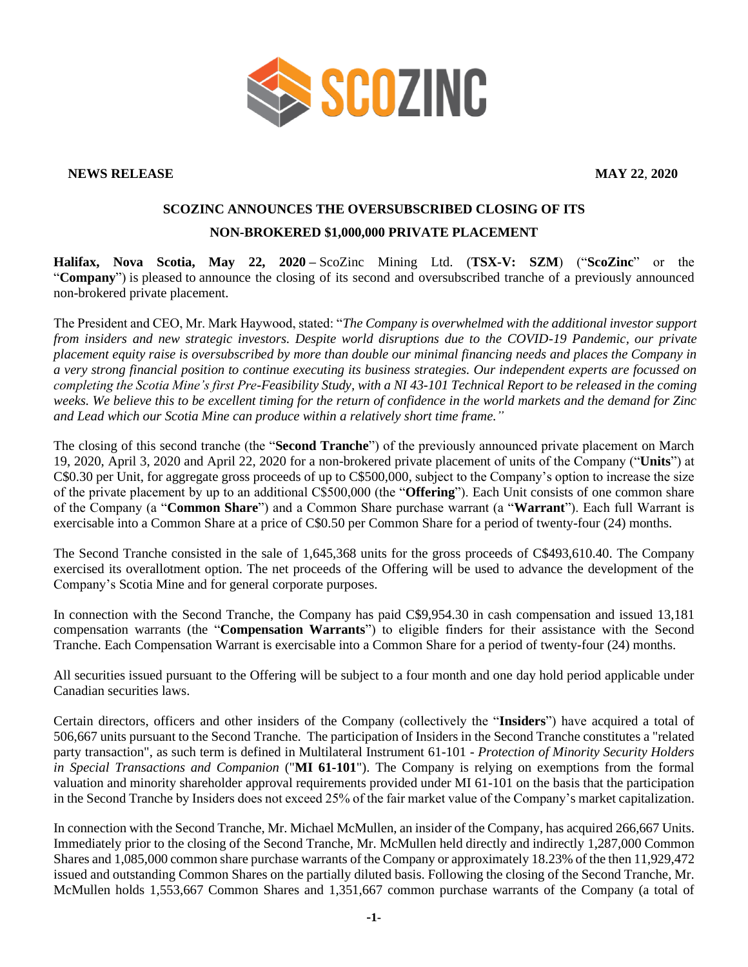

**NEWS RELEASE MAY 22**, **2020**

## **SCOZINC ANNOUNCES THE OVERSUBSCRIBED CLOSING OF ITS NON-BROKERED \$1,000,000 PRIVATE PLACEMENT**

**Halifax, Nova Scotia, May 22, 2020 –** ScoZinc Mining Ltd. (**TSX-V: SZM**) ("**ScoZinc**" or the "**Company**") is pleased to announce the closing of its second and oversubscribed tranche of a previously announced non-brokered private placement.

The President and CEO, Mr. Mark Haywood, stated: "*The Company is overwhelmed with the additional investor support from insiders and new strategic investors. Despite world disruptions due to the COVID-19 Pandemic, our private placement equity raise is oversubscribed by more than double our minimal financing needs and places the Company in a very strong financial position to continue executing its business strategies. Our independent experts are focussed on completing the Scotia Mine's first Pre-Feasibility Study, with a NI 43-101 Technical Report to be released in the coming weeks. We believe this to be excellent timing for the return of confidence in the world markets and the demand for Zinc and Lead which our Scotia Mine can produce within a relatively short time frame."*

The closing of this second tranche (the "**Second Tranche**") of the previously announced private placement on March 19, 2020, April 3, 2020 and April 22, 2020 for a non-brokered private placement of units of the Company ("**Units**") at C\$0.30 per Unit, for aggregate gross proceeds of up to C\$500,000, subject to the Company's option to increase the size of the private placement by up to an additional C\$500,000 (the "**Offering**"). Each Unit consists of one common share of the Company (a "**Common Share**") and a Common Share purchase warrant (a "**Warrant**"). Each full Warrant is exercisable into a Common Share at a price of C\$0.50 per Common Share for a period of twenty-four (24) months.

The Second Tranche consisted in the sale of 1,645,368 units for the gross proceeds of C\$493,610.40. The Company exercised its overallotment option. The net proceeds of the Offering will be used to advance the development of the Company's Scotia Mine and for general corporate purposes.

In connection with the Second Tranche, the Company has paid C\$9,954.30 in cash compensation and issued 13,181 compensation warrants (the "**Compensation Warrants**") to eligible finders for their assistance with the Second Tranche. Each Compensation Warrant is exercisable into a Common Share for a period of twenty-four (24) months.

All securities issued pursuant to the Offering will be subject to a four month and one day hold period applicable under Canadian securities laws.

Certain directors, officers and other insiders of the Company (collectively the "**Insiders**") have acquired a total of 506,667 units pursuant to the Second Tranche. The participation of Insiders in the Second Tranche constitutes a "related party transaction", as such term is defined in Multilateral Instrument 61-101 - *Protection of Minority Security Holders in Special Transactions and Companion* ("**MI 61-101**"). The Company is relying on exemptions from the formal valuation and minority shareholder approval requirements provided under MI 61-101 on the basis that the participation in the Second Tranche by Insiders does not exceed 25% of the fair market value of the Company's market capitalization.

In connection with the Second Tranche, Mr. Michael McMullen, an insider of the Company, has acquired 266,667 Units. Immediately prior to the closing of the Second Tranche, Mr. McMullen held directly and indirectly 1,287,000 Common Shares and 1,085,000 common share purchase warrants of the Company or approximately 18.23% of the then 11,929,472 issued and outstanding Common Shares on the partially diluted basis. Following the closing of the Second Tranche, Mr. McMullen holds 1,553,667 Common Shares and 1,351,667 common purchase warrants of the Company (a total of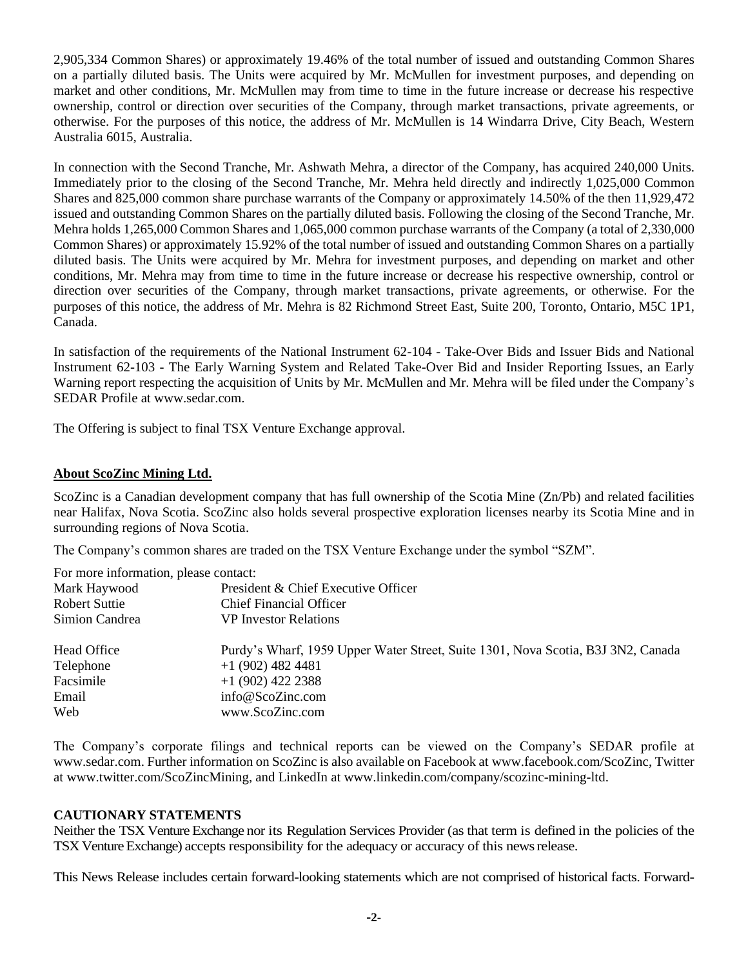2,905,334 Common Shares) or approximately 19.46% of the total number of issued and outstanding Common Shares on a partially diluted basis. The Units were acquired by Mr. McMullen for investment purposes, and depending on market and other conditions, Mr. McMullen may from time to time in the future increase or decrease his respective ownership, control or direction over securities of the Company, through market transactions, private agreements, or otherwise. For the purposes of this notice, the address of Mr. McMullen is 14 Windarra Drive, City Beach, Western Australia 6015, Australia.

In connection with the Second Tranche, Mr. Ashwath Mehra, a director of the Company, has acquired 240,000 Units. Immediately prior to the closing of the Second Tranche, Mr. Mehra held directly and indirectly 1,025,000 Common Shares and 825,000 common share purchase warrants of the Company or approximately 14.50% of the then 11,929,472 issued and outstanding Common Shares on the partially diluted basis. Following the closing of the Second Tranche, Mr. Mehra holds 1,265,000 Common Shares and 1,065,000 common purchase warrants of the Company (a total of 2,330,000 Common Shares) or approximately 15.92% of the total number of issued and outstanding Common Shares on a partially diluted basis. The Units were acquired by Mr. Mehra for investment purposes, and depending on market and other conditions, Mr. Mehra may from time to time in the future increase or decrease his respective ownership, control or direction over securities of the Company, through market transactions, private agreements, or otherwise. For the purposes of this notice, the address of Mr. Mehra is 82 Richmond Street East, Suite 200, Toronto, Ontario, M5C 1P1, Canada.

In satisfaction of the requirements of the National Instrument 62-104 - Take-Over Bids and Issuer Bids and National Instrument 62-103 - The Early Warning System and Related Take-Over Bid and Insider Reporting Issues, an Early Warning report respecting the acquisition of Units by Mr. McMullen and Mr. Mehra will be filed under the Company's SEDAR Profile at www.sedar.com.

The Offering is subject to final TSX Venture Exchange approval.

## **About ScoZinc Mining Ltd.**

ScoZinc is a Canadian development company that has full ownership of the Scotia Mine (Zn/Pb) and related facilities near Halifax, Nova Scotia. ScoZinc also holds several prospective exploration licenses nearby its Scotia Mine and in surrounding regions of Nova Scotia.

The Company's common shares are traded on the TSX Venture Exchange under the symbol "SZM".

| For more information, please contact: |                                                                                  |
|---------------------------------------|----------------------------------------------------------------------------------|
| Mark Haywood                          | President & Chief Executive Officer                                              |
| <b>Robert Suttie</b>                  | <b>Chief Financial Officer</b>                                                   |
| Simion Candrea                        | <b>VP</b> Investor Relations                                                     |
| Head Office                           | Purdy's Wharf, 1959 Upper Water Street, Suite 1301, Nova Scotia, B3J 3N2, Canada |
| Telephone                             | $+1$ (902) 482 4481                                                              |
| Facsimile                             | $+1$ (902) 422 2388                                                              |
| Email                                 | info@ScoZinc.com                                                                 |
| Web                                   | www.ScoZinc.com                                                                  |

The Company's corporate filings and technical reports can be viewed on the Company's SEDAR profile at [www.sedar.com.](http://www.sedar.com/) Further information on ScoZinc is also available on Facebook at www.facebook.com/ScoZinc, Twitter at www.twitter.com/ScoZincMining, and LinkedIn at www.linkedin.com/company/scozinc-mining-ltd.

## **CAUTIONARY STATEMENTS**

Neither the TSX Venture Exchange nor its Regulation Services Provider (as that term is defined in the policies of the TSX Venture Exchange) accepts responsibility for the adequacy or accuracy of this newsrelease.

This News Release includes certain forward-looking statements which are not comprised of historical facts. Forward-